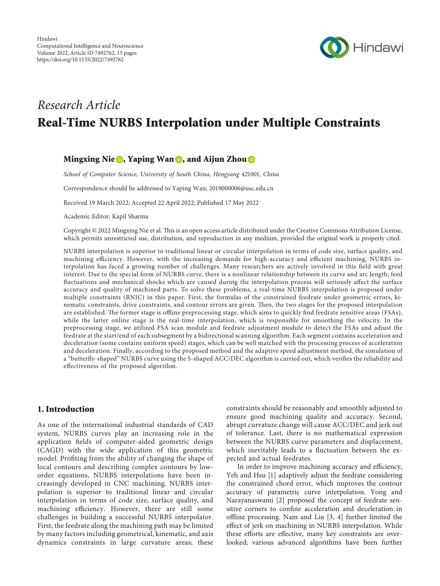

# Research Article Real-Time NURBS Interpolation under Multiple Constraints

# Mingxing Nie  $\bigcirc$ , Yaping Wan  $\bigcirc$ , and Aijun Zhou  $\bigcirc$

School of Computer Science, University of South China, Hengyang 421001, China

Correspondence should be addressed to Yaping Wan; [2019000006@usc.edu.cn](mailto:2019000006@usc.edu.cn)

Received 19 March 2022; Accepted 22 April 2022; Published 17 May 2022

Academic Editor: Kapil Sharma

Copyright © 2022 Mingxing Nie et al. This is an open access article distributed under the [Creative Commons Attribution License,](https://creativecommons.org/licenses/by/4.0/) which permits unrestricted use, distribution, and reproduction in any medium, provided the original work is properly cited.

NURBS interpolation is superior to traditional linear or circular interpolation in terms of code size, surface quality, and machining efficiency. However, with the increasing demands for high-accuracy and efficient machining, NURBS interpolation has faced a growing number of challenges. Many researchers are actively involved in this field with great interest. Due to the special form of NURBS curve, there is a nonlinear relationship between its curve and arc length; feed fluctuations and mechanical shocks which are caused during the interpolation process will seriously affect the surface accuracy and quality of machined parts. To solve these problems, a real-time NURBS interpolation is proposed under multiple constraints (RNIC) in this paper. First, the formulas of the constrained feedrate under geometric errors, kinematic constraints, drive constraints, and contour errors are given. Then, the two stages for the proposed interpolation are established. The former stage is offline preprocessing stage, which aims to quickly find feedrate sensitive areas (FSAs), while the latter online stage is the real-time interpolation, which is responsible for smoothing the velocity. In the preprocessing stage, we utilized FSA scan module and feedrate adjustment module to detect the FSAs and adjust the feedrate at the start/end of each subsegment by a bidirectional scanning algorithm. Each segment contains acceleration and deceleration (some contains uniform speed) stages, which can be well matched with the processing process of acceleration and deceleration. Finally, according to the proposed method and the adaptive speed adjustment method, the simulation of a "butterfly-shaped" NURBS curve using the S-shaped ACC/DEC algorithm is carried out, which verifies the reliability and effectiveness of the proposed algorithm.

## 1. Introduction

As one of the international industrial standards of CAD system, NURBS curves play an increasing role in the application fields of computer-aided geometric design (CAGD) with the wide application of this geometric model. Profiting from the ability of changing the shape of local contours and describing complex contours by loworder equations, NURBS interpolations have been increasingly developed in CNC machining. NURBS interpolation is superior to traditional linear and circular interpolation in terms of code size, surface quality, and machining efficiency. However, there are still some challenges in building a successful NURBS interpolator. First, the feedrate along the machining path may be limited by many factors including geometrical, kinematic, and axis dynamics constraints in large curvature areas; these

constraints should be reasonably and smoothly adjusted to ensure good machining quality and accuracy. Second, abrupt curvature change will cause ACC/DEC and jerk out of tolerance. Last, there is no mathematical expression between the NURBS curve parameters and displacement, which inevitably leads to a fluctuation between the expected and actual feedrates.

In order to improve machining accuracy and efficiency, Yeh and Hsu [\[1](#page-13-0)] adaptively adjust the feedrate considering the constrained chord error, which improves the contour accuracy of parametric curve interpolation. Yong and Narayanaswami [\[2](#page-13-0)] proposed the concept of feedrate sensitive corners to confine acceleration and deceleration in offline processing. Nam and Liu  $[3, 4]$  $[3, 4]$  $[3, 4]$  $[3, 4]$  $[3, 4]$  further limited the effect of jerk on machining in NURBS interpolation. While these efforts are effective, many key constraints are overlooked; various advanced algorithms have been further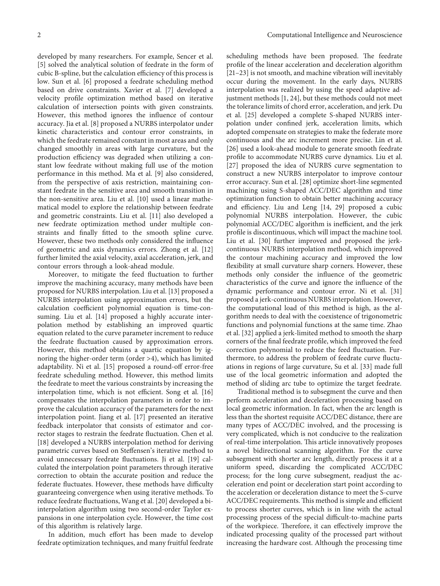developed by many researchers. For example, Sencer et al. [\[5](#page-13-0)] solved the analytical solution of feedrate in the form of cubic B-spline, but the calculation efficiency of this process is low. Sun et al. [\[6\]](#page-13-0) proposed a feedrate scheduling method based on drive constraints. Xavier et al. [[7\]](#page-13-0) developed a velocity profile optimization method based on iterative calculation of intersection points with given constraints. However, this method ignores the influence of contour accuracy. Jia et al. [[8\]](#page-13-0) proposed a NURBS interpolator under kinetic characteristics and contour error constraints, in which the feedrate remained constant in most areas and only changed smoothly in areas with large curvature, but the production efficiency was degraded when utilizing a constant low feedrate without making full use of the motion performance in this method. Ma et al. [[9](#page-13-0)] also considered, from the perspective of axis restriction, maintaining constant feedrate in the sensitive area and smooth transition in the non-sensitive area. Liu et al. [\[10](#page-13-0)] used a linear mathematical model to explore the relationship between feedrate and geometric constraints. Liu et al. [\[11](#page-13-0)] also developed a new feedrate optimization method under multiple constraints and finally fitted to the smooth spline curve. However, these two methods only considered the influence of geometric and axis dynamics errors. Zhong et al. [[12\]](#page-13-0)

further limited the axial velocity, axial acceleration, jerk, and

contour errors through a look-ahead module. Moreover, to mitigate the feed fluctuation to further improve the machining accuracy, many methods have been proposed for NURBS interpolation. Liu et al. [[13](#page-13-0)] proposed a NURBS interpolation using approximation errors, but the calculation coefficient polynomial equation is time-consuming. Liu et al. [[14\]](#page-13-0) proposed a highly accurate interpolation method by establishing an improved quartic equation related to the curve parameter increment to reduce the feedrate fluctuation caused by approximation errors. However, this method obtains a quartic equation by ignoring the higher-order term (order >4), which has limited adaptability. Ni et al. [[15\]](#page-14-0) proposed a round-off error-free feedrate scheduling method. However, this method limits the feedrate to meet the various constraints by increasing the interpolation time, which is not efficient. Song et al. [[16\]](#page-14-0) compensates the interpolation parameters in order to improve the calculation accuracy of the parameters for the next interpolation point. Jiang et al. [\[17](#page-14-0)] presented an iterative feedback interpolator that consists of estimator and corrector stages to restrain the feedrate fluctuation. Chen et al. [\[18](#page-14-0)] developed a NURBS interpolation method for deriving parametric curves based on Steffensen's iterative method to avoid unnecessary feedrate fluctuations. Ji et al. [[19\]](#page-14-0) calculated the interpolation point parameters through iterative correction to obtain the accurate position and reduce the federate fluctuates. However, these methods have difficulty guaranteeing convergence when using iterative methods. To reduce feedrate fluctuations, Wang et al. [[20](#page-14-0)] developed a biinterpolation algorithm using two second-order Taylor expansions in one interpolation cycle. However, the time cost of this algorithm is relatively large.

In addition, much effort has been made to develop feedrate optimization techniques, and many fruitful feedrate scheduling methods have been proposed. The feedrate profile of the linear acceleration and deceleration algorithm [\[21](#page-14-0)–[23](#page-14-0)] is not smooth, and machine vibration will inevitably occur during the movement. In the early days, NURBS interpolation was realized by using the speed adaptive adjustment methods [\[1](#page-13-0), [24\]](#page-14-0), but these methods could not meet the tolerance limits of chord error, acceleration, and jerk. Du et al. [[25](#page-14-0)] developed a complete S-shaped NURBS interpolation under confined jerk, acceleration limits, which adopted compensate on strategies to make the federate more continuous and the arc increment more precise. Lin et al. [\[26\]](#page-14-0) used a look-ahead module to generate smooth feedrate profile to accommodate NURBS curve dynamics. Liu et al. [\[27\]](#page-14-0) proposed the idea of NURBS curve segmentation to construct a new NURBS interpolator to improve contour error accuracy. Sun et al. [\[28\]](#page-14-0) optimize short-line segmented machining using S-shaped ACC/DEC algorithm and time optimization function to obtain better machining accuracy and efficiency. Liu and Leng [\[14](#page-13-0), [29](#page-14-0)] proposed a cubic polynomial NURBS interpolation. However, the cubic polynomial ACC/DEC algorithm is inefficient, and the jerk profile is discontinuous, which will impact the machine tool. Liu et al. [\[30\]](#page-14-0) further improved and proposed the jerkcontinuous NURBS interpolation method, which improved the contour machining accuracy and improved the low flexibility at small curvature sharp corners. However, these methods only consider the influence of the geometric characteristics of the curve and ignore the influence of the dynamic performance and contour error. Ni et al. [[31\]](#page-14-0) proposed a jerk-continuous NURBS interpolation. However, the computational load of this method is high, as the algorithm needs to deal with the coexistence of trigonometric functions and polynomial functions at the same time. Zhao et al. [\[32\]](#page-14-0) applied a jerk-limited method to smooth the sharp corners of the final feedrate profile, which improved the feed correction polynomial to reduce the feed fluctuation. Furthermore, to address the problem of feedrate curve fluctuations in regions of large curvature, Su et al. [\[33\]](#page-14-0) made full use of the local geometric information and adopted the method of sliding arc tube to optimize the target feedrate.

Traditional method is to subsegment the curve and then perform acceleration and deceleration processing based on local geometric information. In fact, when the arc length is less than the shortest requisite ACC/DEC distance, there are many types of ACC/DEC involved, and the processing is very complicated, which is not conducive to the realization of real-time interpolation. This article innovatively proposes a novel bidirectional scanning algorithm. For the curve subsegment with shorter arc length, directly process it at a uniform speed, discarding the complicated ACC/DEC process; for the long curve subsegment, readjust the acceleration end point or deceleration start point according to the acceleration or deceleration distance to meet the S-curve ACC/DEC requirements. This method is simple and efficient to process shorter curves, which is in line with the actual processing process of the special difficult-to-machine parts of the workpiece. Therefore, it can effectively improve the indicated processing quality of the processed part without increasing the hardware cost. Although the processing time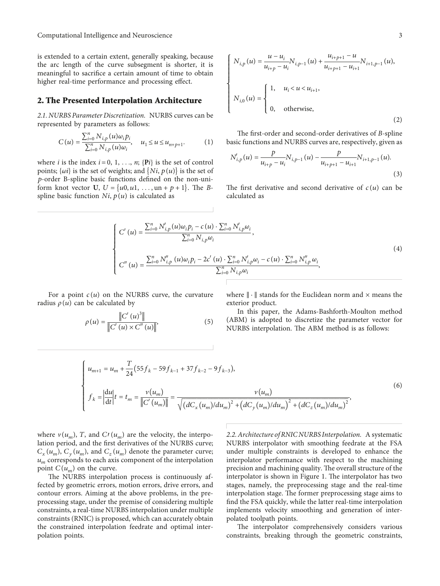Computational Intelligence and Neuroscience 3

is extended to a certain extent, generally speaking, because the arc length of the curve subsegment is shorter, it is meaningful to sacrifice a certain amount of time to obtain higher real-time performance and processing effect.

## **2. The Presented Interpolation Architecture**

*2.1. NURBS Parameter Discretization.* NURBS curves can be represented by parameters as follows:

$$
C(u) = \frac{\sum_{i=0}^{n} N_{i,p}(u)\omega_i p_i}{\sum_{i=0}^{n} N_{i,p}(u)\omega_i}, \quad u_1 \le u \le u_{n+p+1}.
$$
 (1)

where *i* is the index  $i = 0, 1, \ldots, n$ ; { $Pi$ *i*} is the set of control points;  $\{\omega i\}$  is the set of weights; and  $\{Ni, p(u)\}$  is the set of *p*-order B-spline basic functions defined on the non-uniform knot vector **U**,  $U = \{u0, u1, \ldots, un + p + 1\}$ . The *B*spline basic function  $Ni$ ,  $p(u)$  is calculated as

$$
\begin{cases}\nN_{i,p}(u) = \frac{u - u_i}{u_{i+p} - u_i} N_{i,p-1}(u) + \frac{u_{i+p+1} - u}{u_{i+p+1} - u_{i+1}} N_{i+1,p-1}(u), \\
N_{i,0}(u) = \begin{cases}\n1, & u_i < u < u_{i+1}, \\
0, & \text{otherwise,} \n\end{cases}\n\end{cases}\n\tag{2}
$$

The first-order and second-order derivatives of *B*-spline basic functions and NURBS curves are, respectively, given as

$$
N'_{i,p}(u) = \frac{p}{u_{i+p} - u_i} N_{i,p-1}(u) - \frac{p}{u_{i+p+1} - u_{i+1}} N_{i+1,p-1}(u).
$$
\n(3)

The first derivative and second derivative of  $c(u)$  can be calculated as

$$
\begin{cases}\nC'(u) = \frac{\sum_{i=0}^{n} N'_{i,p}(u)\omega_i p_i - c(u) \cdot \sum_{i=0}^{n} N'_{i,p}\omega_i}{\sum_{i=0}^{n} N_{i,p}\omega_i}, \\
C''(u) = \frac{\sum_{i=0}^{n} N''_{i,p}(u)\omega_i p_i - 2c'(u) \cdot \sum_{i=0}^{n} N'_{i,p}\omega_i - c(u) \cdot \sum_{i=0}^{n} N''_{i,p}\omega_i}{\sum_{i=0}^{n} N_{i,p}\omega_i},\n\end{cases} \tag{4}
$$

For a point  $c(u)$  on the NURBS curve, the curvature radius  $\rho(u)$  can be calculated by

$$
\rho(u) = \frac{\|C'(u)^3\|}{\|C'(u) \times C''(u)\|},
$$
\n(5)

where  $\|\cdot\|$  stands for the Euclidean norm and  $\times$  means the exterior product.

In this paper, the Adams-Bashforth-Moulton method (ABM) is adopted to discretize the parameter vector for NURBS interpolation. The ABM method is as follows:

$$
\begin{cases}\n u_{m+1} = u_m + \frac{T}{24} (55 f_k - 59 f_{k-1} + 37 f_{k-2} - 9 f_{k-3}), \\
 f_k = \left| \frac{du}{dt} \right| t = t_m = \frac{v(u_m)}{\left\| C'(u_m) \right\|} = \frac{v(u_m)}{\sqrt{\left( dC_x(u_m)/du_m \right)^2 + \left( dC_y(u_m)/du_m \right)^2 + \left( dC_z(u_m)/du_m \right)^2}},\n\end{cases} \tag{6}
$$

where  $v(u_m)$ , *T*, and *C*<sup> $t$ </sup>( $u_m$ ) are the velocity, the interpo-<br>letten period, and the first derivatives of the NUPPS curve lation period, and the first derivatives of the NURBS curve;  $C_x(u_m)$ ,  $C_y(u_m)$ , and  $C_z(u_m)$  denote the parameter curve;  $u_m$  corresponds to each axis component of the interpolation point  $C(u_m)$  on the curve.

The NURBS interpolation process is continuously affected by geometric errors, motion errors, drive errors, and contour errors. Aiming at the above problems, in the preprocessing stage, under the premise of considering multiple constraints, a real-time NURBS interpolation under multiple constraints (RNIC) is proposed, which can accurately obtain the constrained interpolation feedrate and optimal interpolation points.

*2.2. Architecture of RNIC NURBS Interpolation.* A systematic NURBS interpolator with smoothing feedrate at the FSA under multiple constraints is developed to enhance the interpolator performance with respect to the machining precision and machining quality. The overall structure of the interpolator is shown in Figure [1.](#page--1-0) The interpolator has two stages, namely, the preprocessing stage and the real-time interpolation stage. The former preprocessing stage aims to find the FSA quickly, while the latter real-time interpolation implements velocity smoothing and generation of interpolated toolpath points.

The interpolator comprehensively considers various constraints, breaking through the geometric constraints,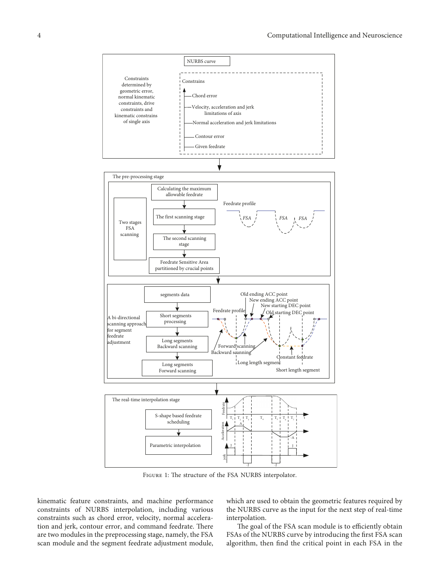

FIGURE 1: The structure of the FSA NURBS interpolator.

kinematic feature constraints, and machine performance constraints of NURBS interpolation, including various constraints such as chord error, velocity, normal acceleration and jerk, contour error, and command feedrate. There are two modules in the preprocessing stage, namely, the FSA scan module and the segment feedrate adjustment module,

which are used to obtain the geometric features required by the NURBS curve as the input for the next step of real-time interpolation.

The goal of the FSA scan module is to efficiently obtain FSAs of the NURBS curve by introducing the first FSA scan algorithm, then find the critical point in each FSA in the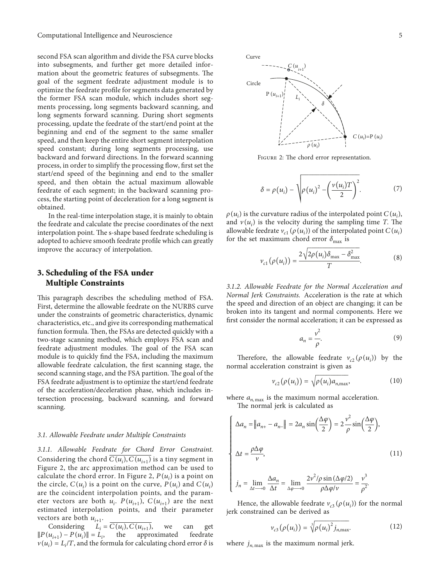second FSA scan algorithm and divide the FSA curve blocks into subsegments, and further get more detailed information about the geometric features of subsegments. The goal of the segment feedrate adjustment module is to optimize the feedrate profile for segments data generated by the former FSA scan module, which includes short segments processing, long segments backward scanning, and long segments forward scanning. During short segments processing, update the feedrate of the start/end point at the beginning and end of the segment to the same smaller speed, and then keep the entire short segment interpolation speed constant; during long segments processing, use backward and forward directions. In the forward scanning process, in order to simplify the processing flow, first set the start/end speed of the beginning and end to the smaller speed, and then obtain the actual maximum allowable feedrate of each segment; in the backward scanning process, the starting point of deceleration for a long segment is obtained.

In the real-time interpolation stage, it is mainly to obtain the feedrate and calculate the precise coordinates of the next interpolation point. The s-shape based feedrate scheduling is adopted to achieve smooth feedrate profile which can greatly improve the accuracy of interpolation.

## 3. Scheduling of the FSA under Multiple Constraints

This paragraph describes the scheduling method of FSA. First, determine the allowable feedrate on the NURBS curve under the constraints of geometric characteristics, dynamic characteristics, etc., and give its corresponding mathematical function formula. Then, the FSAs are detected quickly with a two-stage scanning method, which employs FSA scan and feedrate adjustment modules. The goal of the FSA scan module is to quickly find the FSA, including the maximum allowable feedrate calculation, the first scanning stage, the second scanning stage, and the FSA partition. The goal of the FSA feedrate adjustment is to optimize the start/end feedrate of the acceleration/deceleration phase, which includes intersection processing, backward scanning, and forward scanning.

#### 3.1. Allowable Feedrate under Multiple Constraints

3.1.1. Allowable Feedrate for Chord Error Constraint. Considering the chord  $C(u_i)$ ,  $C(u_{i+1})$  is a tiny segment in Figure [2,](#page--1-0) the arc approximation method can be used to calculate the chord error. In Figure [2,](#page--1-0)  $P(u_i)$  is a point on the circle,  $C(u_i)$  is a point on the curve,  $P(u_i)$  and  $C(u_i)$ are the coincident interpolation points, and the parameter vectors are both  $u_i$ .  $P(u_{i+1})$ ,  $C(u_{i+1})$  are the next estimated interpolation points, and their parameter vectors are both  $u_{i+1}$ .

Considering  $L_i = C(u_i), C(u_{i+1}),$  we can get  $\|P(u_{i+1}) - P(u_i)\| = L_i$ approximated feedrate  $v(u_i) = L_i/T$ , and the formula for calculating chord error  $\delta$  is



FIGURE 2: The chord error representation.

$$
\delta = \rho(u_i) - \sqrt{\rho(u_i)^2 - \left(\frac{v(u_i)T}{2}\right)^2}.
$$
 (7)

 $\rho(u_i)$  is the curvature radius of the interpolated point  $C(u_i)$ , and  $v(u_i)$  is the velocity during the sampling time T. The allowable feedrate  $v_{c1}(\rho(u_i))$  of the interpolated point  $C(u_i)$ for the set maximum chord error  $\delta_{\text{max}}$  is

$$
v_{c1}(\rho(u_i)) = \frac{2\sqrt{2\rho(u_i)\delta_{\max} - \delta_{\max}^2}}{T}.
$$
 (8)

3.1.2. Allowable Feedrate for the Normal Acceleration and Normal Jerk Constraints. Acceleration is the rate at which the speed and direction of an object are changing; it can be broken into its tangent and normal components. Here we first consider the normal acceleration; it can be expressed as

$$
a_n = \frac{v^2}{\rho}.\tag{9}
$$

Therefore, the allowable feedrate  $v_{c2}(\rho(u_i))$  by the normal acceleration constraint is given as

$$
\nu_{c2}(\rho(u_i)) = \sqrt{\rho(u_i)a_{n,\text{max}}},\tag{10}
$$

where  $a_{n, \text{max}}$  is the maximum normal acceleration.

The normal jerk is calculated as

$$
\begin{cases}\n\Delta a_n = ||a_{n+} - a_{n-}|| = 2a_n \sin\left(\frac{\Delta \varphi}{2}\right) = 2\frac{v^2}{\rho} \sin\left(\frac{\Delta \varphi}{2}\right), \\
\Delta t = \frac{\rho \Delta \varphi}{v}, \\
j_n = \lim_{\Delta t \to 0} \frac{\Delta a_n}{\Delta t} = \lim_{\Delta \varphi \to 0} \frac{2v^2/\rho \sin\left(\Delta \varphi/2\right)}{\rho \Delta \varphi/v} = \frac{v^3}{\rho^2}.\n\end{cases}
$$
\n(11)

Hence, the allowable feedrate  $v_{c3}(\rho(u_i))$  for the normal jerk constrained can be derived as

$$
\nu_{c3}(\rho(u_i)) = \sqrt[3]{\rho(u_i)^2 j_{n,\text{max}}}.
$$
\n(12)

where  $j_{n, \text{max}}$  is the maximum normal jerk.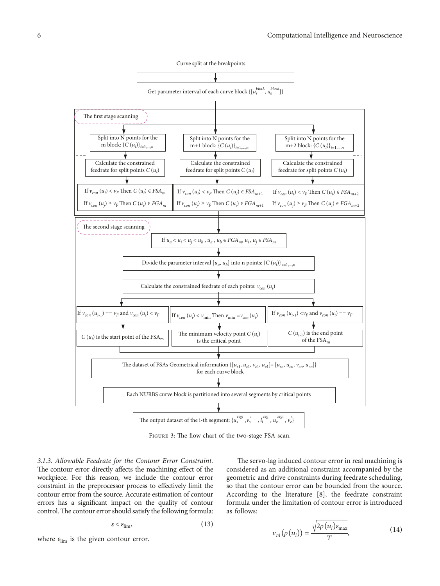

FIGURE 3: The flow chart of the two-stage FSA scan.

3.1.3. Allowable Feedrate for the Contour Error Constraint. The contour error directly affects the machining effect of the workpiece. For this reason, we include the contour error constraint in the preprocessor process to effectively limit the contour error from the source. Accurate estimation of contour errors has a signicant impact on the quality of contour control. The contour error should satisfy the following formula:

$$
\varepsilon < \varepsilon_{\text{lim}},\tag{13}
$$

where  $\varepsilon_{\text{lim}}$  is the given contour error.

The servo-lag induced contour error in real machining is considered as an additional constraint accompanied by the geometric and drive constraints during feedrate scheduling, so that the contour error can be bounded from the source. According to the literature [[8](#page-13-0)], the feedrate constraint formula under the limitation of contour error is introduced as follows:

$$
v_{c4}(\rho(u_i)) = \frac{\sqrt{2\rho(u_i)\varepsilon_{\text{max}}}}{T},
$$
\n(14)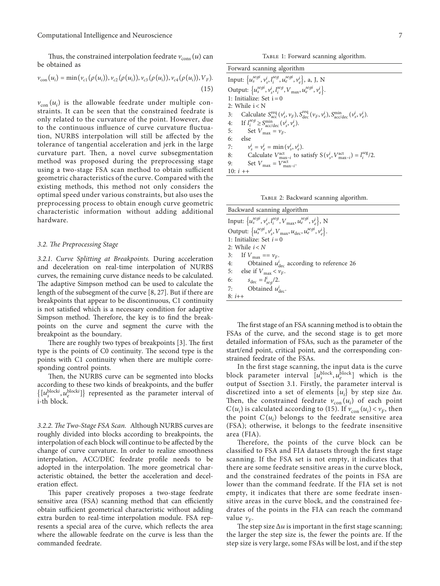<span id="page-6-0"></span>Thus, the constrained interpolation feedrate  $v_{\text{cons}}(u)$  can be obtained as

$$
v_{\text{con}}(u_i) = \min(v_{c1}(\rho(u_i)), v_{c2}(\rho(u_i)), v_{c3}(\rho(u_i)), v_{c4}(\rho(u_i)), V_F). \tag{15}
$$

 $v_{\text{con}}(u_i)$  is the allowable feedrate under multiple constraints. It can be seen that the constrained feedrate is only related to the curvature of the point. However, due to the continuous influence of curve curvature fluctuation, NURBS interpolation will still be affected by the tolerance of tangential acceleration and jerk in the large curvature part. Then, a novel curve subsegmentation method was proposed during the preprocessing stage using a two-stage FSA scan method to obtain sufficient geometric characteristics of the curve. Compared with the existing methods, this method not only considers the optimal speed under various constraints, but also uses the preprocessing process to obtain enough curve geometric characteristic information without adding additional hardware.

#### *3.2. 4e Preprocessing Stage*

*3.2.1. Curve Splitting at Breakpoints.* During acceleration and deceleration on real-time interpolation of NURBS curves, the remaining curve distance needs to be calculated. The adaptive Simpson method can be used to calculate the length of the subsegment of the curve [\[8](#page-13-0), [27](#page-14-0)]. But if there are breakpoints that appear to be discontinuous, C1 continuity is not satisfied which is a necessary condition for adaptive Simpson method. Therefore, the key is to find the breakpoints on the curve and segment the curve with the breakpoint as the boundary.

There are roughly two types of breakpoints [[3\]](#page-13-0). The first type is the points of C0 continuity. The second type is the points with C1 continuity when there are multiple corresponding control points.

Then, the NURBS curve can be segmented into blocks according to these two kinds of breakpoints, and the buffer  $\{[u_s^{\text{block}}], u_e^{\text{block}}]\}$  represented as the parameter interval of i-th block.

*3.2.2. 4e Two-Stage FSA Scan.* Although NURBS curves are roughly divided into blocks according to breakpoints, the interpolation of each block will continue to be affected by the change of curve curvature. In order to realize smoothness interpolation, ACC/DEC feedrate profile needs to be adopted in the interpolation. The more geometrical characteristic obtained, the better the acceleration and deceleration effect.

This paper creatively proposes a two-stage feedrate sensitive area (FSA) scanning method that can efficiently obtain sufficient geometrical characteristic without adding extra burden to real-time interpolation module. FSA represents a special area of the curve, which reflects the area where the allowable feedrate on the curve is less than the commanded feedrate.

TABLE 1: Forward scanning algorithm.

| Forward scanning algorithm |
|----------------------------|
|----------------------------|

| Input: $\{u_s^{segi}, v_s^i, l_i^{seg}, u_e^{segi}, v_e^i\}$ , a, J, N                                                                                             |  |  |  |  |  |
|--------------------------------------------------------------------------------------------------------------------------------------------------------------------|--|--|--|--|--|
| Output: $\{u_s^{segi}, v_s^i, l_i^{seg}, V_{\text{max}}, u_e^{segi}, v_e^i\}.$                                                                                     |  |  |  |  |  |
| 1: Initialize: Set $i = 0$                                                                                                                                         |  |  |  |  |  |
| 2: While $i < N$                                                                                                                                                   |  |  |  |  |  |
| 3: Calculate $S_{\text{acc}}^{\text{req}}(\nu_s^i, \nu_F), S_{\text{dec}}^{\text{req}}(\nu_F, \nu_e^i), S_{\text{acc}/\text{dec}}^{\text{min}}(\nu_s^i, \nu_e^i).$ |  |  |  |  |  |
| 4: If $l_i^{seg} \geq S_{acc/dec}^{\min}(\nu_s^i, \nu_e^i)$ .                                                                                                      |  |  |  |  |  |
| 5: Set $V_{\text{max}} = v_F$ .                                                                                                                                    |  |  |  |  |  |
| 6:<br>else                                                                                                                                                         |  |  |  |  |  |
| $v_s^i = v_a^i = \min(v_s^i, v_s^i)$ .<br>7:                                                                                                                       |  |  |  |  |  |
| 8: Calculate $V_{\text{max}-i}^{\text{act}}$ to satisfy $S(v_s^i, V_{\text{max}-i}^{\text{act}}) = I_i^{\text{seg}}/2$ .                                           |  |  |  |  |  |
| Set $V_{\text{max}} = V_{\text{max}-i}^{\text{act}}$ .<br>9:                                                                                                       |  |  |  |  |  |
| 10: $i +$                                                                                                                                                          |  |  |  |  |  |

TABLE 2: Backward scanning algorithm.

| Backward scanning algorithm                                                         |
|-------------------------------------------------------------------------------------|
| Input: $\{u_s^{segi}, v_s^i, l_i^{seg}, V_{\text{max}}, u_e^{segi}, v_e^i\}, N$     |
| Output: $\{u_s^{segi}, v_s^i, V_{\text{max}}, u_{\text{dec}}, u_e^{segi}, v_e^i\}.$ |
| 1: Initialize: Set $i=0$                                                            |
| 2: While $i < N$                                                                    |
| 3: If $V_{\text{max}} = v_F$ .                                                      |
| 4: Obtained $u_{\text{dec}}^i$ according to reference 26                            |
| 5: else if $V_{\text{max}} < v_F$ .                                                 |
| 6: $s_{\text{dec}} = l_{\text{seq}}^i/2$ .                                          |
| 7: Obtained $u_{\text{dec}}^i$ .                                                    |
| $8: i++$                                                                            |

The first stage of an FSA scanning method is to obtain the FSAs of the curve, and the second stage is to get more detailed information of FSAs, such as the parameter of the start/end point, critical point, and the corresponding constrained feedrate of the FSAs.

In the first stage scanning, the input data is the curve block parameter interval  $[u_s^{\text{block}}, u_e^{\text{block}}]$  which is the output of Ssection [3.1.](#page--1-0) Firstly, the parameter interval is discretized into a set of elements  $\{u_i\}$  by step size  $\Delta u$ . Then, the constrained feedrate  $v_{\text{con}}(u_i)$  of each point  $C(u_i)$  is calculated according to (15). If  $v_{con}(u_i) < v_F$ , then the point  $C(u_i)$  belongs to the feedrate sensitive area (FSA); otherwise, it belongs to the feedrate insensitive area (FIA).

Therefore, the points of the curve block can be classified to FSA and FIA datasets through the first stage scanning. If the FSA set is not empty, it indicates that there are some feedrate sensitive areas in the curve block, and the constrained feedrates of the points in FSA are lower than the command feedrate. If the FIA set is not empty, it indicates that there are some feedrate insensitive areas in the curve block, and the constrained feedrates of the points in the FIA can reach the command value  $v_F$ .

The step size  $\Delta u$  is important in the first stage scanning; the larger the step size is, the fewer the points are. If the step size is very large, some FSAs will be lost, and if the step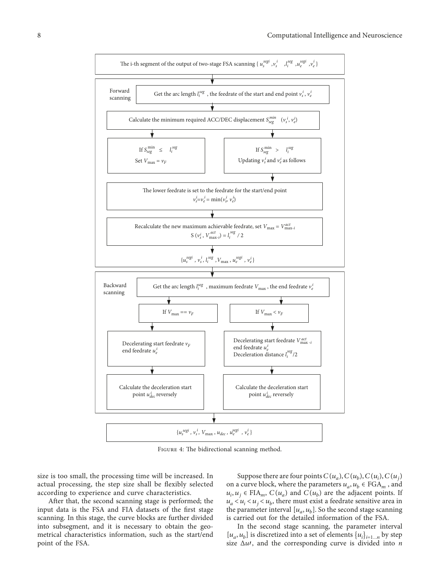

FIGURE 4: The bidirectional scanning method.

size is too small, the processing time will be increased. In actual processing, the step size shall be flexibly selected according to experience and curve characteristics.

After that, the second scanning stage is performed; the input data is the FSA and FIA datasets of the first stage scanning. In this stage, the curve blocks are further divided into subsegment, and it is necessary to obtain the geometrical characteristics information, such as the start/end point of the FSA.

Suppose there are four points  $C(u_a)$ ,  $C(u_b)$ ,  $C(u_i)$ ,  $C(u_i)$ on a curve block, where the parameters  $u_a, u_b \in FGA_m$ , and *u<sub>i</sub>*, *u<sub>j</sub>* ∈ FIA<sub>*m*</sub>, *C*(*u<sub>a</sub>*) and *C*(*u<sub>b</sub>*) are the adjacent points. If  $u_a < u_i < u_b$ , there must exist a feedrate sensitive area in the parameter interval  $[u_a, u_b]$ . So the second stage scanning is carried out for the detailed information of the FSA.

In the second stage scanning, the parameter interval  $[u_a, u_b]$  is discretized into a set of elements  $\{u_i\}_{i=1...n}$  by step size  $\Delta u$ , and the corresponding curve is divided into *n*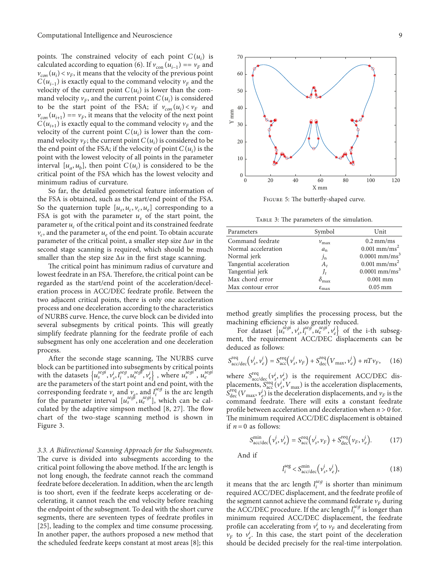points. The constrained velocity of each point  $C(u_i)$  is calculated according to equation (6). If  $v_{con}(u_{i-1}) = v_F$  and  $v_{con}(u_i) < v_F$ , it means that the velocity of the previous point  $C(u_{i-1})$  is exactly equal to the command velocity  $v_F$  and the velocity of the current point  $C(u_i)$  is lower than the command velocity  $v_F$ , and the current point  $C(u_i)$  is considered to be the start point of the FSA; if  $v_{con}(u_i) < v_F$  and  $v_{con}(u_{i+1}) = v_F$ , it means that the velocity of the next point  $C(u_{i+1})$  is exactly equal to the command velocity  $v_F$  and the velocity of the current point  $C(u_i)$  is lower than the command velocity  $v_F$ ; the current point  $C(u_i)$  is considered to be the end point of the FSA; if the velocity of point  $C(u_i)$  is the point with the lowest velocity of all points in the parameter interval  $[u_a, u_b]$ , then point  $C(u_i)$  is considered to be the critical point of the FSA which has the lowest velocity and minimum radius of curvature.

So far, the detailed geometrical feature information of the FSA is obtained, such as the start/end point of the FSA. So the quaternion tuple  $[u_s, u_c, v_c, u_e]$  corresponding to a FSA is got with the parameter  $u<sub>s</sub>$  of the start point, the parameter  $u_c$  of the critical point and its constrained feedrate  $v_c$ , and the parameter  $u_e$  of the end point. To obtain accurate parameter of the critical point, a smaller step size <sup>Δ</sup>*u*′ in the second stage scanning is required, which should be much smaller than the step size  $\Delta u$  in the first stage scanning.

The critical point has minimum radius of curvature and lowest feedrate in an FSA. Therefore, the critical point can be regarded as the start/end point of the acceleration/deceleration process in ACC/DEC feedrate profile. Between the two adjacent critical points, there is only one acceleration process and one deceleration according to the characteristics of NURBS curve. Hence, the curve block can be divided into several subsegments by critical points. This will greatly simplify feedrate planning for the feedrate profile of each subsegment has only one acceleration and one deceleration process.

After the seconde stage scanning, The NURBS curve block can be partitioned into subsegments by critical points with the datasets  $\{u_s^{seg}, v_s^i, l_i^{seg}, u_e^{seg}, v_e^i\}$ , where  $u_s^{segi}$ ,  $u_e^{segi}$ are the parameters of the start point and end point, with the corresponding feedrate  $v_s$  and  $v_g$ , and  $l_i^{seg}$  is the arc length for the parameter interval  $[u_s^{seg}, u_e^{seg}]$ , which can be calculated by the adaptive simpson method  $[8, 27]$  $[8, 27]$  $[8, 27]$  $[8, 27]$ . The flow chart of the two-stage scanning method is shown in Figure [3](#page--1-0).

3.3. A Bidirectional Scanning Approach for the Subsegments. The curve is divided into subsegments according to the critical point following the above method. If the arc length is not long enough, the feedrate cannot reach the command feedrate before deceleration. In addition, when the arc length is too short, even if the feedrate keeps accelerating or decelerating, it cannot reach the end velocity before reaching the endpoint of the subsegment. To deal with the short curve segments, there are seventeen types of feedrate profiles in [\[25\]](#page-14-0), leading to the complex and time consume processing. In another paper, the authors proposed a new method that the scheduled feedrate keeps constant at most areas [\[8](#page-13-0)]; this



FIGURE 5: The butterfly-shaped curve.

TABLE 3: The parameters of the simulation.

| Parameters              | Symbol                     | Unit                           |
|-------------------------|----------------------------|--------------------------------|
| Command feedrate        | $v_{\rm max}$              | $0.2 \text{ mm/ms}$            |
| Normal acceleration     | $a_n$                      | $0.001$ mm/ms <sup>2</sup>     |
| Normal jerk             | $j_{\rm n}$                | $0.0001$ mm/ms <sup>3</sup>    |
| Tangential acceleration | $A_t$                      | $0.001 \text{ mm}/\text{ms}^2$ |
| Tangential jerk         | $J_{t}$                    | $0.0001$ mm/ms <sup>3</sup>    |
| Max chord error         | $\delta_{\text{max}}$      | $0.001$ mm                     |
| Max contour error       | $\varepsilon_{\text{max}}$ | $0.05$ mm                      |

method greatly simplifies the processing process, but the machining efficiency is also greatly reduced.

For dataset  $\{u_s^{segi}, v_s^i, l_i^{seg}, u_e^{segi'}, v_e^i\}$  of the i-th subsegment, the requirement ACC/DEC displacements can be deduced as follows:

$$
S_{\text{acc}/\text{dec}}^{\text{req}}\left(v_s^i, v_e^i\right) = S_{\text{acc}}^{\text{req}}\left(v_s^i, v_F\right) + S_{\text{dec}}^{\text{req}}\left(V_{\text{max}}, v_e^i\right) + nT v_F, \quad (16)
$$

where  $S_{\text{acc/dec}}^{\text{req}}(v_s^i, v_e^i)$  is the requirement ACC/DEC displacements,  $S_{\text{acc}}^{\text{req}}(v_s^i, V_{\text{max}})$  is the acceleration displacements,  $S_{\text{dec}}^{\text{req}}(V_{\text{max}}, v_e^i)$  is the deceleration displacements, and  $v_F$  is the command feedrate. There will exits a constant feedrate profile between acceleration and deceleration when  $n > 0$  for. The minimum required ACC/DEC displacement is obtained if  $n = 0$  as follows:

$$
S_{\text{acc/dec}}^{\text{min}}\left(v_s^i, v_e^i\right) = S_{\text{acc}}^{\text{req}}\left(v_s^i, v_F\right) + S_{\text{dec}}^{\text{req}}\left(v_F, v_e^i\right). \tag{17}
$$

And if

$$
l_i^{\text{seg}} < S_{\text{acc/dec}}^{\text{min}}\left(v_s^i, v_e^i\right),\tag{18}
$$

it means that the arc length  $l_i^{seg}$  is shorter than minimum required ACC/DEC displacement, and the feedrate profile of the segment cannot achieve the command federate  $v_F$  during the ACC/DEC procedure. If the arc length  $l_i^{seg}$  is longer than minimum required ACC/DEC displacement, the feedrate profile can accelerating from  $v_s^i$  to  $v_F$  and decelerating from  $v_F$  to  $v_e^i$ . In this case, the start point of the deceleration should be decided precisely for the real-time interpolation.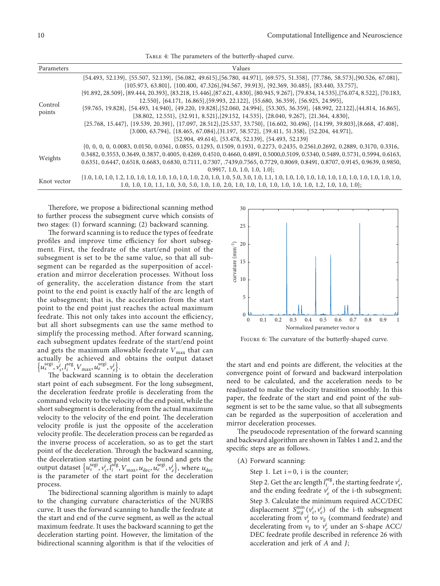|  |  | TABLE 4: The parameters of the butterfly-shaped curve. |  |  |  |  |  |
|--|--|--------------------------------------------------------|--|--|--|--|--|
|--|--|--------------------------------------------------------|--|--|--|--|--|

| Parameters  | Values                                                                                                                                                                                                                                                 |
|-------------|--------------------------------------------------------------------------------------------------------------------------------------------------------------------------------------------------------------------------------------------------------|
|             | $\{54.493, 52.139\}, \{55.507, 52.139\}, \{56.082, 49.615\}, \{56.780, 44.971\}, \{69.575, 51.358\}, \{77.786, 58.573\}, \{90.526, 67.081\}, \{19.526, 69.081\}.$                                                                                      |
| Control     | $\{105.973, 63.801\}, \{100.400, 47.326\}, \{94.567, 39.913\}, \{92.369, 30.485\}, \{83.440, 33.757\},$                                                                                                                                                |
|             | $\{91.892, 28.509\}, \{89.444, 20.393\}, \{83.218, 15.446\}, \{87.621, 4.830\}, \{80.945, 9.267\}, \{79.834, 14.535\}, \{76.074, 8.522\}, \{70.183, 14.535\}\}$                                                                                        |
|             | $12.550\}, \{64.171, 16.865\}, \{59.993, 22.122\}, \{55.680, 36.359\}, \{56.925, 24.995\},$                                                                                                                                                            |
|             | $\{59.765, 19.828\}, \{54.493, 14.940\}, \{49.220, 19.828\}, \{52.060, 24.994\}, \{53.305, 36.359\}, \{48.992, 22.122\}, \{44.814, 16.865\}, \{52.060, 24.994\}, \{53.305, 36.359\}, \{48.992, 22.122\}, \{44.814, 16.865\}, \{52.060, 24.994\}, \{53$ |
| points      | $\{38.802, 12.551\}, \{32.911, 8.521\}, \{29.152, 14.535\}, \{28.040, 9.267\}, \{21.364, 4.830\},$                                                                                                                                                     |
|             | $\{25.768, 15.447\}, \{19.539, 20.391\}, \{17.097, 28.512\}, \{25.537, 33.750\}, \{16.602, 30.496\}, \{14.199, 39.803\}, \{8.668, 47.408\}, \{16.602, 30.496\}, \{16.602, 30.496\}$                                                                    |
|             | $\{3.000, 63.794\}, \{18.465, 67.084\}, \{31.197, 58.572\}, \{39.411, 51.358\}, \{52.204, 44.971\},$                                                                                                                                                   |
|             | $\{52.904, 49.614\}, \{53.478, 52.139\}, \{54.493, 52.139\}$                                                                                                                                                                                           |
|             | $\{0, 0, 0, 0, 0.0083, 0.0150, 0.0361, 0.0855, 0.1293, 0.1509, 0.1931, 0.2273, 0.2435, 0.2561, 0.2692, 0.2889, 0.3170, 0.3316,$                                                                                                                        |
|             | 0.3482, 0.3553, 0.3649, 0.3837, 0.4005, 0.4269, 0.4510, 0.4660, 0.4891, 0.5000, 0.5109, 0.5340, 0.5489, 0.5731, 0.5994, 0.6163,                                                                                                                        |
| Weights     | 0.6351, 0.6447, 0.6518, 0.6683, 0.6830, 0.7111, 0.7307, .7439,0.7565, 0.7729, 0.8069, 0.8491, 0.8707, 0.9145, 0.9639, 0.9850,                                                                                                                          |
|             | 0.9917, 1.0, 1.0, 1.0, 1.0                                                                                                                                                                                                                             |
| Knot vector |                                                                                                                                                                                                                                                        |
|             |                                                                                                                                                                                                                                                        |

Therefore, we propose a bidirectional scanning method to further process the subsegment curve which consists of two stages: (1) forward scanning; (2) backward scanning.

The forward scanning is to reduce the types of feedrate profiles and improve time efficiency for short subsegment. First, the feedrate of the start/end point of the subsegment is set to be the same value, so that all subsegment can be regarded as the superposition of acceleration and mirror deceleration processes. Without loss of generality, the acceleration distance from the start point to the end point is exactly half of the arc length of the subsegment; that is, the acceleration from the start point to the end point just reaches the actual maximum feedrate. This not only takes into account the efficiency, but all short subsegments can use the same method to simplify the processing method. After forward scanning, each subsegment updates feedrate of the start/end point and gets the maximum allowable feedrate  $V_{\text{max}}$  that can actually be achieved and obtains the output dataset  $\{u_s^{\text{segi}}, v_s^i, l_i^{\text{seg}}, V_{\text{max}}, u_e^{\text{segi}}, v_e^i\}$ 

The backward scanning is to obtain the deceleration start point of each subsegment. For the long subsegment, the deceleration feedrate profile is decelerating from the command velocity to the velocity of the end point, while the short subsegment is decelerating from the actual maximum velocity to the velocity of the end point. The deceleration velocity profile is just the opposite of the acceleration velocity profile. The deceleration process can be regarded as the inverse process of acceleration, so as to get the start point of the deceleration. Through the backward scanning, the deceleration starting point can be found and gets the output dataset  $\{u_s^{\text{segi}}, v_s^i, \vec{J}_i^{\text{segi}}, V_{\text{max}}, u_{\text{dec}}, u_e^{\text{segi}}, v_e^i\}$ , where  $u_{\text{dec}}$ is the parameter of the start point for the deceleration process.

The bidirectional scanning algorithm is mainly to adapt to the changing curvature characteristics of the NURBS curve. It uses the forward scanning to handle the feedrate at the start and end of the curve segment, as well as the actual maximum feedrate. It uses the backward scanning to get the deceleration starting point. However, the limitation of the bidirectional scanning algorithm is that if the velocities of



FIGURE 6: The curvature of the butterfly-shaped curve.

the start and end points are different, the velocities at the convergence point of forward and backward interpolation need to be calculated, and the acceleration needs to be readjusted to make the velocity transition smoothly. In this paper, the feedrate of the start and end point of the subsegment is set to be the same value, so that all subsegments can be regarded as the superposition of acceleration and mirror deceleration processes.

The pseudocode representation of the forward scanning and backward algorithm are shown in Tables [1](#page-6-0) and [2](#page-6-0), and the specific steps are as follows.

- (A) Forward scanning:
	- Step 1. Let  $i = 0$ , i is the counter;

Step 2. Get the arc length  $l_i^{\text{seg}}$ , the starting feedrate  $v_s^i$ , and the ending feedrate  $v_e^i$  of the i-th subsegment; Step 3. Calculate the minimum required ACC/DEC displacement  $S_{seg}^{\min}(v_s^i, v_e^i)$  of the i-th subsegment accelerating from  $v_s^i$  to  $v_F$  (command feedrate) and decelerating from  $v_F$  to  $v_e^i$  under an S-shape ACC/ DEC feedrate profile described in reference 26 with acceleration and jerk of *A* and *J*;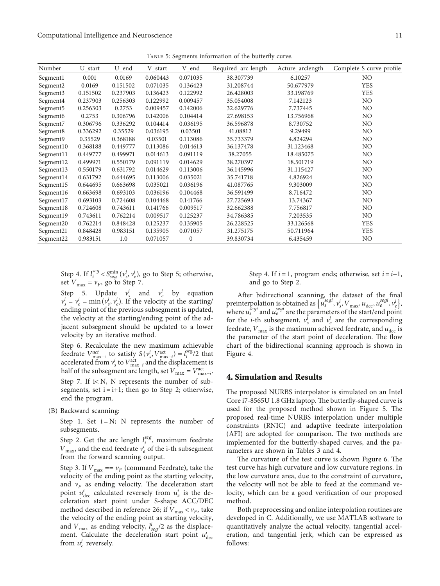Table 5: Segments information of the butterfly curve.

<span id="page-10-0"></span>

| Number                | U_start  | U_end    | V_start  | V_end        | Required_arc length | Acture_arclength | Complete S curve profile |
|-----------------------|----------|----------|----------|--------------|---------------------|------------------|--------------------------|
| Segment1              | 0.001    | 0.0169   | 0.060443 | 0.071035     | 38.307739           | 6.10257          | NO.                      |
| Segment <sub>2</sub>  | 0.0169   | 0.151502 | 0.071035 | 0.136423     | 31.208744           | 50.677979        | <b>YES</b>               |
| Segment3              | 0.151502 | 0.237903 | 0.136423 | 0.122992     | 26.428003           | 33.198769        | <b>YES</b>               |
| Segment4              | 0.237903 | 0.256303 | 0.122992 | 0.009457     | 35.054008           | 7.142123         | NO                       |
| Segment <sub>5</sub>  | 0.256303 | 0.2753   | 0.009457 | 0.142006     | 32.629776           | 7.737445         | NO                       |
| Segment <sub>6</sub>  | 0.2753   | 0.306796 | 0.142006 | 0.104414     | 27.698153           | 13.756968        | NO.                      |
| Segment <sub>7</sub>  | 0.306796 | 0.336292 | 0.104414 | 0.036195     | 36.596878           | 8.730752         | NO                       |
| Segment <sub>8</sub>  | 0.336292 | 0.35529  | 0.036195 | 0.03501      | 41.08812            | 9.29499          | NO                       |
| Segment9              | 0.35529  | 0.368188 | 0.03501  | 0.113086     | 35.733379           | 4.824294         | NO                       |
| Segment <sub>10</sub> | 0.368188 | 0.449777 | 0.113086 | 0.014613     | 36.137478           | 31.123468        | NO                       |
| Segment <sub>11</sub> | 0.449777 | 0.499971 | 0.014613 | 0.091119     | 38.27055            | 18.485075        | NO                       |
| Segment <sub>12</sub> | 0.499971 | 0.550179 | 0.091119 | 0.014629     | 38.270397           | 18.501719        | NO                       |
| Segment <sub>13</sub> | 0.550179 | 0.631792 | 0.014629 | 0.113006     | 36.145996           | 31.115427        | N <sub>O</sub>           |
| Segment <sub>14</sub> | 0.631792 | 0.644695 | 0.113006 | 0.035021     | 35.741718           | 4.826924         | NO                       |
| Segment <sub>15</sub> | 0.644695 | 0.663698 | 0.035021 | 0.036196     | 41.087765           | 9.303009         | NO.                      |
| Segment <sub>16</sub> | 0.663698 | 0.693103 | 0.036196 | 0.104468     | 36.591499           | 8.716472         | N <sub>O</sub>           |
| Segment <sub>17</sub> | 0.693103 | 0.724608 | 0.104468 | 0.141766     | 27.725693           | 13.74367         | N <sub>O</sub>           |
| Segment <sub>18</sub> | 0.724608 | 0.743611 | 0.141766 | 0.009517     | 32.662388           | 7.756817         | NO.                      |
| Segment <sub>19</sub> | 0.743611 | 0.762214 | 0.009517 | 0.125237     | 34.786385           | 7.203535         | NO.                      |
| Segment <sub>20</sub> | 0.762214 | 0.848428 | 0.125237 | 0.135905     | 26.228525           | 33.126568        | <b>YES</b>               |
| Segment <sub>21</sub> | 0.848428 | 0.983151 | 0.135905 | 0.071057     | 31.275175           | 50.711964        | <b>YES</b>               |
| Segment <sub>22</sub> | 0.983151 | 1.0      | 0.071057 | $\mathbf{0}$ | 39.830734           | 6.435459         | N <sub>O</sub>           |

Step 4. If  $l_i^{seg} < S_{seg}^{min}(v_s^i, v_e^i)$ , go to Step 5; otherwise, set  $V_{\text{max}} = v_F$ , go to Step 7.

Step 5. Update  $v_s^i$  and  $v_e^i$  by equation  $v_s^i = v_e^i = \min(v_s^i, v_e^i)$ . If the velocity at the starting/ ending point of the previous subsegment is updated, the velocity at the starting/ending point of the adjacent subsegment should be updated to a lower velocity by an iterative method.

Step 6. Recalculate the new maximum achievable feedrate  $V_{\text{max}-i}^{act}$  to satisfy  $S(v_s^i, V_{\text{max}-i}^{act}) = l_i^{seg}/2$  that accelerated from  $v_s^i$  to  $V_{\text{max}-i}^{\text{act}}$  and the displacement is half of the subsegment arc length, set  $V_{\text{max}} = V_{\text{max}-i}^{\text{act}}$ . Step 7. If  $i < N$ , N represents the number of subsegments, set  $i = i+1$ ; then go to Step 2; otherwise, end the program.

(B) Backward scanning:

Step 1. Set  $i = N$ ; N represents the number of subsegments.

Step 2. Get the arc length  $l_j^{seg}$ , maximum feedrate  $V_{\text{max}}$ , and the end feedrate  $v_e^i$  of the i-th subsegment from the forward scanning output.

Step 3. If  $V_{\text{max}} = v_F$  (command Feedrate), take the velocity of the ending point as the starting velocity, and  $v_F$  as ending velocity. The deceleration start point  $u_{\text{dec}}^i$  calculated reversely from  $u_e^i$  is the deceleration start point under S-shape ACC/DEC method described in reference 26; if  $V_{\text{max}} < v_F$ , take the velocity of the ending point as starting velocity, and  $V_{\text{max}}$  as ending velocity,  $l_{seg}^{i}/2$  as the displacement. Calculate the deceleration start point  $u_{\text{dec}}^i$ from  $u_e^i$  reversely.

Step 4. If  $i = 1$ , program ends; otherwise, set  $i = i-1$ , and go to Step 2.

After bidirectional scanning, the dataset of the final preinterpolation is obtained as  $\{ \tilde{u}_s^{segi}, v_s^i, V_{\text{max}}, u_{\text{dec}}, u_e^{segi}, v_e^i \},\}$ where  $u_s^{\text{segi}}$  and  $u_e^{\text{segi}}$  are the parameters of the start/end point for the *i*-th subsegment,  $v_s^i$  and  $v_e^i$  are the corresponding feedrate,  $V_{\text{max}}$  is the maximum achieved feedrate, and  $u_{\text{dec}}$  is the parameter of the start point of deceleration. The flow chart of the bidirectional scanning approach is shown in Figure [4.](#page--1-0)

#### **4. Simulation and Results**

The proposed NURBS interpolator is simulated on an Intel Core i7-8565U 1.8 GHz laptop. The butterfly-shaped curve is used for the proposed method shown in Figure [5.](#page--1-0) The proposed real-time NURBS interpolation under multiple constraints (RNIC) and adaptive feedrate interpolation (AFI) are adopted for comparison. The two methods are implemented for the butterfly-shaped curves, and the parameters are shown in Tables [3](#page--1-0) and [4.](#page--1-0)

The curvature of the test curve is shown Figure [6.](#page--1-0) The test curve has high curvature and low curvature regions. In the low curvature area, due to the constraint of curvature, the velocity will not be able to feed at the command velocity, which can be a good verification of our proposed method.

Both preprocessing and online interpolation routines are developed in C. Additionally, we use MATLAB software to quantitatively analyze the actual velocity, tangential acceleration, and tangential jerk, which can be expressed as follows: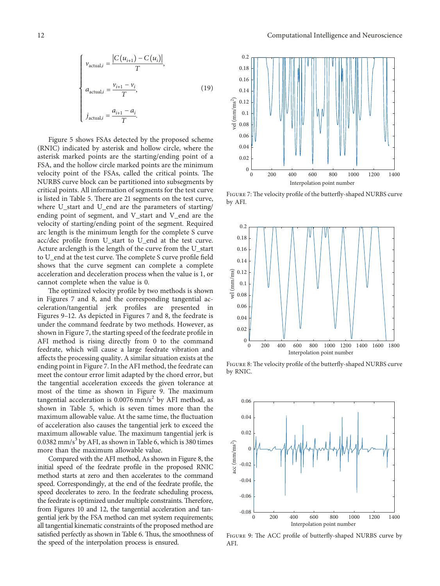$$
\begin{cases}\n v_{\text{actual},i} = \frac{|C(u_{i+1}) - C(u_i)|}{T}, \\
 a_{\text{actual},i} = \frac{v_{i+1} - v_i}{T}, \\
 j_{\text{actual},i} = \frac{a_{i+1} - a_i}{T}.\n\end{cases}
$$
\n(19)

Figure [5](#page--1-0) shows FSAs detected by the proposed scheme (RNIC) indicated by asterisk and hollow circle, where the asterisk marked points are the starting/ending point of a FSA, and the hollow circle marked points are the minimum velocity point of the FSAs, called the critical points. The NURBS curve block can be partitioned into subsegments by critical points. All information of segments for the test curve is listed in Table [5](#page-10-0). There are 21 segments on the test curve, where U\_start and U\_end are the parameters of starting/ ending point of segment, and V\_start and V\_end are the velocity of starting/ending point of the segment. Required arc length is the minimum length for the complete S curve acc/dec profile from U\_start to U\_end at the test curve. Acture arclength is the length of the curve from the U\_start to U\_end at the test curve. The complete S curve profile field shows that the curve segment can complete a complete acceleration and deceleration process when the value is 1, or cannot complete when the value is 0.

The optimized velocity profile by two methods is shown in Figures [7](#page--1-0) and [8,](#page--1-0) and the corresponding tangential acceleration/tangential jerk profiles are presented in Figures [9–12](#page--1-0). As depicted in Figures [7](#page--1-0) and [8,](#page--1-0) the feedrate is under the command feedrate by two methods. However, as shown in Figure [7](#page--1-0), the starting speed of the feedrate profile in AFI method is rising directly from 0 to the command feedrate, which will cause a large feedrate vibration and affects the processing quality. A similar situation exists at the ending point in Figure [7](#page--1-0). In the AFI method, the feedrate can meet the contour error limit adapted by the chord error, but the tangential acceleration exceeds the given tolerance at most of the time as shown in Figure [9](#page--1-0). The maximum tangential acceleration is  $0.0076$  mm/s<sup>2</sup> by AFI method, as shown in Table [5,](#page-10-0) which is seven times more than the maximum allowable value. At the same time, the fluctuation of acceleration also causes the tangential jerk to exceed the maximum allowable value. The maximum tangential jerk is  $0.0382$  mm/s<sup>3</sup> by AFI, as shown in Table [6,](#page-13-0) which is 380 times more than the maximum allowable value.

Compared with the AFI method, As shown in Figure [8,](#page--1-0) the initial speed of the feedrate profile in the proposed RNIC method starts at zero and then accelerates to the command speed. Correspondingly, at the end of the feedrate profile, the speed decelerates to zero. In the feedrate scheduling process, the feedrate is optimized under multiple constraints. Therefore, from Figures [10](#page--1-0) and [12](#page--1-0), the tangential acceleration and tangential jerk by the FSA method can met system requirements; all tangential kinematic constraints of the proposed method are satisfied perfectly as shown in Table [6.](#page-13-0) Thus, the smoothness of the speed of the interpolation process is ensured.



FIGURE 7: The velocity profile of the butterfly-shaped NURBS curve by AFI.



FIGURE 8: The velocity profile of the butterfly-shaped NURBS curve by RNIC.



FIGURE 9: The ACC profile of butterfly-shaped NURBS curve by AFI.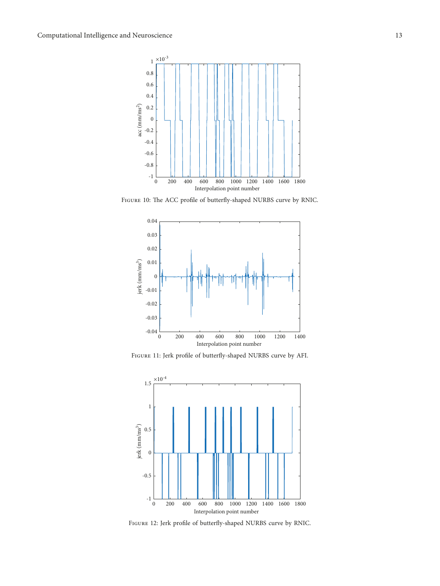

FIGURE 10: The ACC profile of butterfly-shaped NURBS curve by RNIC.



FIGURE 11: Jerk profile of butterfly-shaped NURBS curve by AFI.



FIGURE 12: Jerk profile of butterfly-shaped NURBS curve by RNIC.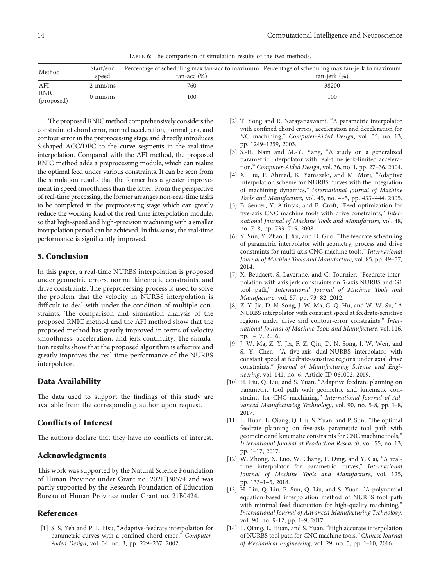TABLE 6: The comparison of simulation results of the two methods.

<span id="page-13-0"></span>

| Method                    | Start/end         |                   | Percentage of scheduling max tan-acc to maximum Percentage of scheduling max tan-jerk to maximum |
|---------------------------|-------------------|-------------------|--------------------------------------------------------------------------------------------------|
|                           | speed             | $tan$ -acc $(\%)$ | $tan-ierk$ $(\%)$                                                                                |
| AFI                       | $2 \text{ mm/ms}$ | 760               | 38200                                                                                            |
| <b>RNIC</b><br>(proposed) | $0 \text{ mm/ms}$ | 100               | 100                                                                                              |

The proposed RNIC method comprehensively considers the constraint of chord error, normal acceleration, normal jerk, and contour error in the preprocessing stage and directly introduces S-shaped ACC/DEC to the curve segments in the real-time interpolation. Compared with the AFI method, the proposed RNIC method adds a preprocessing module, which can realize the optimal feed under various constraints. It can be seen from the simulation results that the former has a greater improvement in speed smoothness than the latter. From the perspective of real-time processing, the former arranges non-real-time tasks to be completed in the preprocessing stage which can greatly reduce the working load of the real-time interpolation module, so that high-speed and high-precision machining with a smaller interpolation period can be achieved. In this sense, the real-time performance is significantly improved.

## **5. Conclusion**

In this paper, a real-time NURBS interpolation is proposed under geometric errors, normal kinematic constraints, and drive constraints. The preprocessing process is used to solve the problem that the velocity in NURBS interpolation is difficult to deal with under the condition of multiple constraints. The comparison and simulation analysis of the proposed RNIC method and the AFI method show that the proposed method has greatly improved in terms of velocity smoothness, acceleration, and jerk continuity. The simulation results show that the proposed algorithm is effective and greatly improves the real-time performance of the NURBS interpolator.

## **Data Availability**

The data used to support the findings of this study are available from the corresponding author upon request.

## **Conflicts of Interest**

The authors declare that they have no conflicts of interest.

### **Acknowledgments**

This work was supported by the Natural Science Foundation of Hunan Province under Grant no. 2021JJ30574 and was partly supported by the Research Foundation of Education Bureau of Hunan Province under Grant no. 21B0424.

### **References**

[1] S. S. Yeh and P. L. Hsu, "Adaptive-feedrate interpolation for parametric curves with a confined chord error," *Computer-Aided Design*, vol. 34, no. 3, pp. 229–237, 2002.

- [2] T. Yong and R. Narayanaswami, "A parametric interpolator with confined chord errors, acceleration and deceleration for NC machining," *Computer-Aided Design*, vol. 35, no. 13, pp. 1249–1259, 2003.
- [3] S.-H. Nam and M.-Y. Yang, "A study on a generalized parametric interpolator with real-time jerk-limited acceleration," *Computer-Aided Design*, vol. 36, no. 1, pp. 27–36, 2004.
- [4] X. Liu, F. Ahmad, K. Yamazaki, and M. Mori, "Adaptive interpolation scheme for NURBS curves with the integration of machining dynamics," *International Journal of Machine Tools and Manufacture*, vol. 45, no. 4–5, pp. 433–444, 2005.
- [5] B. Sencer, Y. Altintas, and E. Croft, "Feed optimization for five-axis CNC machine tools with drive constraints," *International Journal of Machine Tools and Manufacture*, vol. 48, no. 7–8, pp. 733–745, 2008.
- [6] Y. Sun, Y. Zhao, J. Xu, and D. Guo, "The feedrate scheduling of parametric interpolator with geometry, process and drive constraints for multi-axis CNC machine tools," *International Journal of Machine Tools and Manufacture*, vol. 85, pp. 49–57, 2014.
- [7] X. Beudaert, S. Lavernhe, and C. Tournier, "Feedrate interpolation with axis jerk constraints on 5-axis NURBS and G1 tool path," *International Journal of Machine Tools and Manufacture*, vol. 57, pp. 73–82, 2012.
- [8] Z. Y. Jia, D. N. Song, J. W. Ma, G. Q. Hu, and W. W. Su, "A NURBS interpolator with constant speed at feedrate-sensitive regions under drive and contour-error constraints," *International Journal of Machine Tools and Manufacture*, vol. 116, pp. 1–17, 2016.
- [9] J. W. Ma, Z. Y. Jia, F. Z. Qin, D. N. Song, J. W. Wen, and S. Y. Chen, "A five-axis dual-NURBS interpolator with constant speed at feedrate-sensitive regions under axial drive constraints," *Journal of Manufacturing Science and Engineering*, vol. 141, no. 6, Article ID 061002, 2019.
- [10] H. Liu, Q. Liu, and S. Yuan, "Adaptive feedrate planning on parametric tool path with geometric and kinematic constraints for CNC machining," *International Journal of Advanced Manufacturing Technology*, vol. 90, no. 5-8, pp. 1–8, 2017.
- [11] L. Huan, L. Qiang, Q. Liu, S. Yuan, and P. Sun, "The optimal feedrate planning on five-axis parametric tool path with geometric and kinematic constraints for CNC machine tools," *International Journal of Production Research*, vol. 55, no. 13, pp. 1–17, 2017.
- [12] W. Zhong, X. Luo, W. Chang, F. Ding, and Y. Cai, "A realtime interpolator for parametric curves," *International Journal of Machine Tools and Manufacture*, vol. 125, pp. 133–145, 2018.
- [13] H. Liu, Q. Liu, P. Sun, Q. Liu, and S. Yuan, "A polynomial equation-based interpolation method of NURBS tool path with minimal feed fluctuation for high-quality machining," *International Journal of Advanced Manufacturing Technology*, vol. 90, no. 9-12, pp. 1–9, 2017.
- [14] L. Qiang, L. Huan, and S. Yuan, "High accurate interpolation of NURBS tool path for CNC machine tools," *Chinese Journal of Mechanical Engineering*, vol. 29, no. 5, pp. 1–10, 2016.